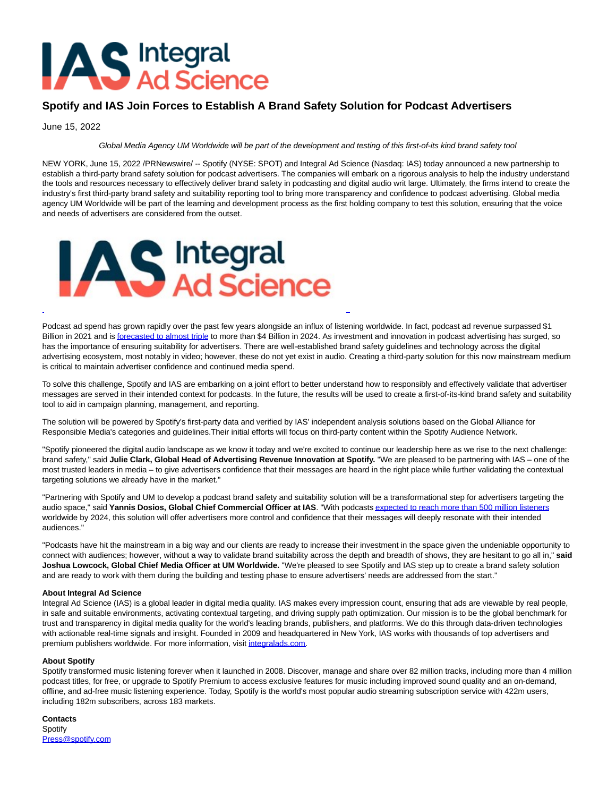# **AS** Integral

# **Spotify and IAS Join Forces to Establish A Brand Safety Solution for Podcast Advertisers**

June 15, 2022

## Global Media Agency UM Worldwide will be part of the development and testing of this first-of-its kind brand safety tool

NEW YORK, June 15, 2022 /PRNewswire/ -- Spotify (NYSE: SPOT) and Integral Ad Science (Nasdaq: IAS) today announced a new partnership to establish a third-party brand safety solution for podcast advertisers. The companies will embark on a rigorous analysis to help the industry understand the tools and resources necessary to effectively deliver brand safety in podcasting and digital audio writ large. Ultimately, the firms intend to create the industry's first third-party brand safety and suitability reporting tool to bring more transparency and confidence to podcast advertising. Global media agency UM Worldwide will be part of the learning and development process as the first holding company to test this solution, ensuring that the voice and needs of advertisers are considered from the outset.



Podcast ad spend has grown rapidly over the past few years alongside an influx of listening worldwide. In fact, podcast ad revenue surpassed \$1 Billion in 2021 and i[s forecasted to almost triple t](https://c212.net/c/link/?t=0&l=en&o=3567592-1&h=4132666414&u=https%3A%2F%2Fwww.iab.com%2Finsights%2Fu-s-podcast-advertising-revenue-report-fy-2021-results-2022-2024-growth-projections%2F&a=forecasted+to+almost+triple)o more than \$4 Billion in 2024. As investment and innovation in podcast advertising has surged, so has the importance of ensuring suitability for advertisers. There are well-established brand safety guidelines and technology across the digital advertising ecosystem, most notably in video; however, these do not yet exist in audio. Creating a third-party solution for this now mainstream medium is critical to maintain advertiser confidence and continued media spend.

 $\overline{a}$ 

To solve this challenge, Spotify and IAS are embarking on a joint effort to better understand how to responsibly and effectively validate that advertiser messages are served in their intended context for podcasts. In the future, the results will be used to create a first-of-its-kind brand safety and suitability tool to aid in campaign planning, management, and reporting.

The solution will be powered by Spotify's first-party data and verified by IAS' independent analysis solutions based on the Global Alliance for Responsible Media's categories and guidelines.Their initial efforts will focus on third-party content within the Spotify Audience Network.

"Spotify pioneered the digital audio landscape as we know it today and we're excited to continue our leadership here as we rise to the next challenge: brand safety," said **Julie Clark, Global Head of Advertising Revenue Innovation at Spotify.** "We are pleased to be partnering with IAS – one of the most trusted leaders in media – to give advertisers confidence that their messages are heard in the right place while further validating the contextual targeting solutions we already have in the market."

"Partnering with Spotify and UM to develop a podcast brand safety and suitability solution will be a transformational step for advertisers targeting the audio space," said **Yannis Dosios, Global Chief Commercial Officer at IAS**. "With podcast[s expected to reach more than 500 million listeners](https://c212.net/c/link/?t=0&l=en&o=3567592-1&h=393698969&u=https%3A%2F%2Fforecasts-na2.emarketer.com%2F5cc9df4966e13004ecb7d2b1%2F5ade11dca2835e033c6df3de&a=expected+to+reach+more+than+500+million+listeners) worldwide by 2024, this solution will offer advertisers more control and confidence that their messages will deeply resonate with their intended audiences."

"Podcasts have hit the mainstream in a big way and our clients are ready to increase their investment in the space given the undeniable opportunity to connect with audiences; however, without a way to validate brand suitability across the depth and breadth of shows, they are hesitant to go all in," **said Joshua Lowcock, Global Chief Media Officer at UM Worldwide.** "We're pleased to see Spotify and IAS step up to create a brand safety solution and are ready to work with them during the building and testing phase to ensure advertisers' needs are addressed from the start."

### **About Integral Ad Science**

Integral Ad Science (IAS) is a global leader in digital media quality. IAS makes every impression count, ensuring that ads are viewable by real people, in safe and suitable environments, activating contextual targeting, and driving supply path optimization. Our mission is to be the global benchmark for trust and transparency in digital media quality for the world's leading brands, publishers, and platforms. We do this through data-driven technologies with actionable real-time signals and insight. Founded in 2009 and headquartered in New York, IAS works with thousands of top advertisers and premium publishers worldwide. For more information, visi[t integralads.com.](https://c212.net/c/link/?t=0&l=en&o=3567592-1&h=1798085052&u=http%3A%2F%2Fintegralads.com%2F&a=integralads.com)

## **About Spotify**

Spotify transformed music listening forever when it launched in 2008. Discover, manage and share over 82 million tracks, including more than 4 million podcast titles, for free, or upgrade to Spotify Premium to access exclusive features for music including improved sound quality and an on-demand, offline, and ad-free music listening experience. Today, Spotify is the world's most popular audio streaming subscription service with 422m users, including 182m subscribers, across 183 markets.

**Contacts** Spotify [Press@spotify.com](mailto:Press@spotify.com)